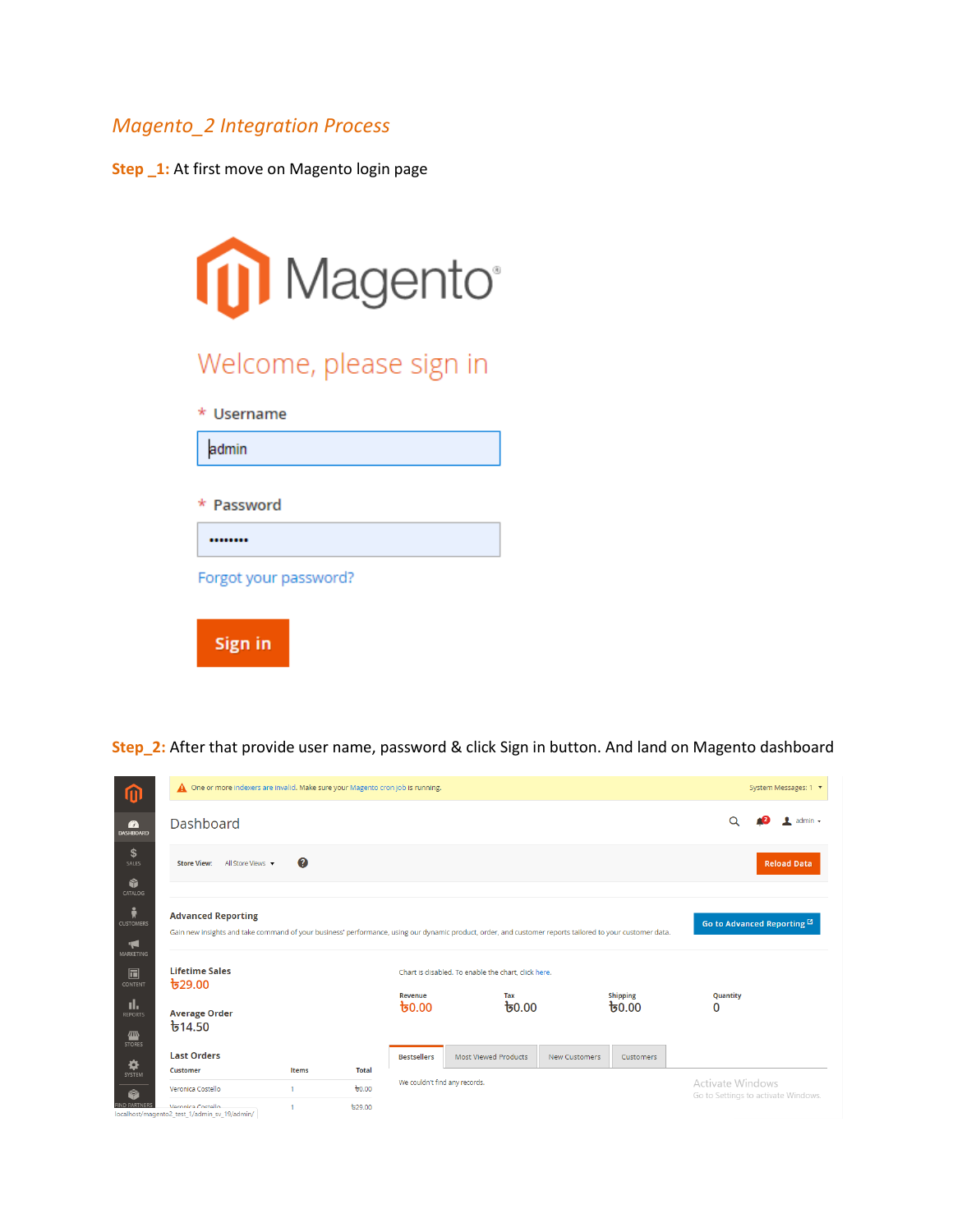## *Magento\_2 Integration Process*

**Step \_1:** At first move on Magento login page



**Step\_2:** After that provide user name, password & click Sign in button. And land on Magento dashboard

| ⑩                                           | A One or more indexers are invalid. Make sure your Magento cron job is running.                                                                                                       |       |                            |                               |                                                     | System Messages: 1 ▼ |                                 |                  |                                        |
|---------------------------------------------|---------------------------------------------------------------------------------------------------------------------------------------------------------------------------------------|-------|----------------------------|-------------------------------|-----------------------------------------------------|----------------------|---------------------------------|------------------|----------------------------------------|
| $\bullet$<br><b>DASHBOARD</b>               | Dashboard                                                                                                                                                                             |       |                            |                               |                                                     |                      |                                 | Q                | $admin$ $\star$                        |
| \$<br>SALES                                 | All Store Views v<br><b>Store View:</b>                                                                                                                                               | 0     |                            |                               |                                                     |                      |                                 |                  | <b>Reload Data</b>                     |
| Ŵ<br>CATALOG                                |                                                                                                                                                                                       |       |                            |                               |                                                     |                      |                                 |                  |                                        |
| ÷<br><b>CUSTOMERS</b><br>H<br>MARKETING     | <b>Advanced Reporting</b><br>Gain new insights and take command of your business' performance, using our dynamic product, order, and customer reports tailored to your customer data. |       |                            |                               |                                                     |                      |                                 |                  | Go to Advanced Reporting <sup>13</sup> |
| $\Box$<br>CONTENT                           | <b>Lifetime Sales</b><br>৳29.00                                                                                                                                                       |       |                            |                               | Chart is disabled. To enable the chart, click here. |                      |                                 |                  |                                        |
| ıl.<br><b>REPORTS</b><br>個<br><b>STORES</b> | <b>Average Order</b><br>$b$ 14.50                                                                                                                                                     |       |                            | Revenue<br>60.00              | Tax<br>60.00                                        |                      | <b>Shipping</b><br><u>ित है</u> | Quantity<br>0    |                                        |
| ✿                                           | <b>Last Orders</b>                                                                                                                                                                    |       |                            | <b>Bestsellers</b>            | <b>Most Viewed Products</b>                         | <b>New Customers</b> | <b>Customers</b>                |                  |                                        |
| SYSTEM<br>Ô                                 | Customer<br>Veronica Costello                                                                                                                                                         | Items | <b>Total</b><br>$t_{0.00}$ | We couldn't find any records. |                                                     |                      |                                 | Activate Windows | Go to Settings to activate Windows.    |
| ND PARTNERS                                 | Veronica Costello<br>localhost/magento2_test_1/admin_sv_19/admin/                                                                                                                     |       | $\frac{1}{6}$ 29.00        |                               |                                                     |                      |                                 |                  |                                        |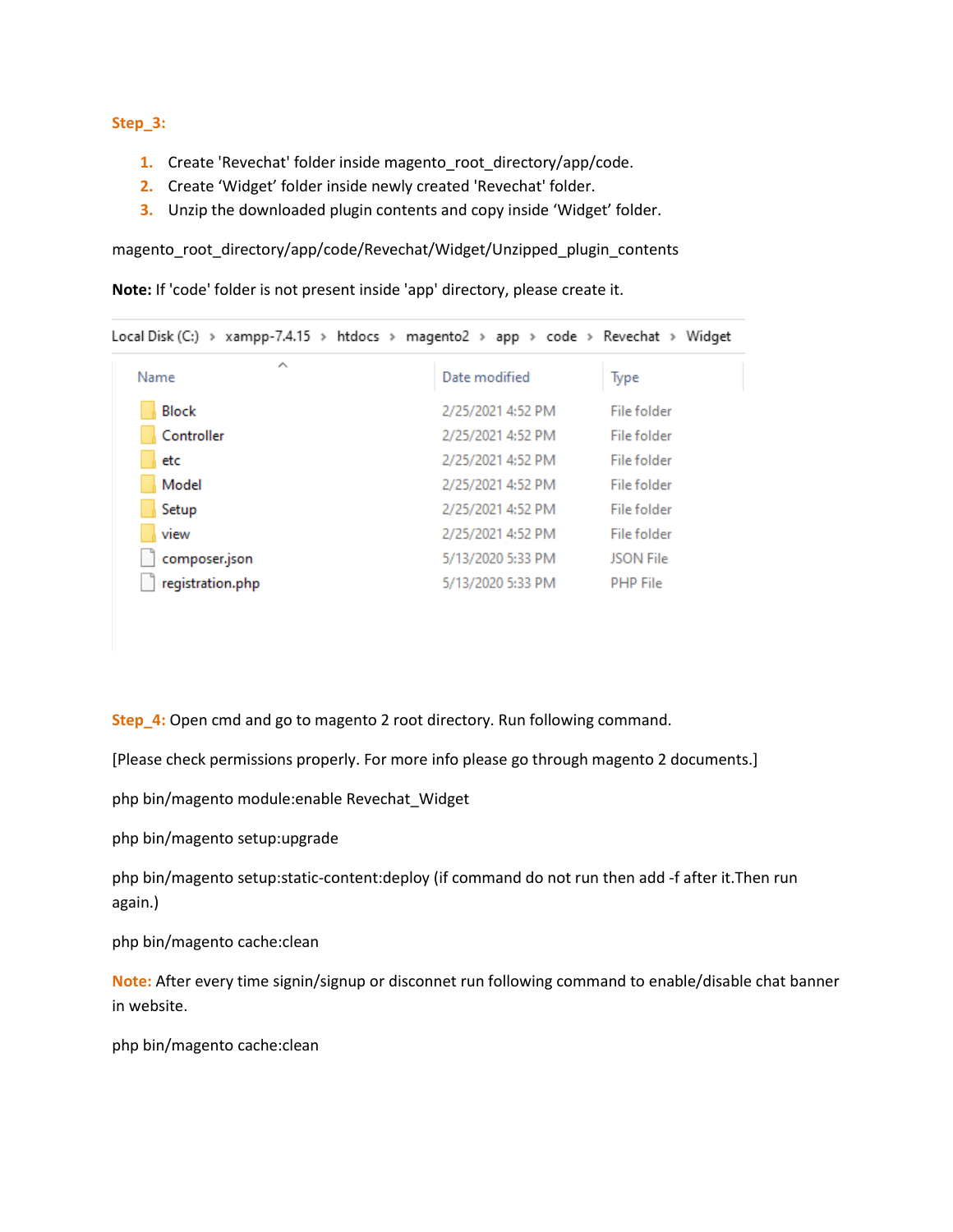## **Step\_3:**

- **1.** Create 'Revechat' folder inside magento\_root\_directory/app/code.
- **2.** Create 'Widget' folder inside newly created 'Revechat' folder.
- **3.** Unzip the downloaded plugin contents and copy inside 'Widget' folder.

magento\_root\_directory/app/code/Revechat/Widget/Unzipped\_plugin\_contents

**Note:** If 'code' folder is not present inside 'app' directory, please create it.

| Local Disk (C:) > xampp-7.4.15 > htdocs > magento2 > app > code > Revechat > Widget |                   |                  |  |  |
|-------------------------------------------------------------------------------------|-------------------|------------------|--|--|
| ∼<br>Name                                                                           | Date modified     | Type             |  |  |
| <b>Block</b>                                                                        | 2/25/2021 4:52 PM | File folder      |  |  |
| Controller                                                                          | 2/25/2021 4:52 PM | File folder      |  |  |
| etc                                                                                 | 2/25/2021 4:52 PM | File folder      |  |  |
| Model                                                                               | 2/25/2021 4:52 PM | File folder      |  |  |
| Setup                                                                               | 2/25/2021 4:52 PM | File folder      |  |  |
| view                                                                                | 2/25/2021 4:52 PM | File folder      |  |  |
| composer.json                                                                       | 5/13/2020 5:33 PM | <b>JSON File</b> |  |  |
| registration.php                                                                    | 5/13/2020 5:33 PM | <b>PHP File</b>  |  |  |

**Step\_4:** Open cmd and go to magento 2 root directory. Run following command.

[Please check permissions properly. For more info please go through magento 2 documents.]

php bin/magento module:enable Revechat\_Widget

php bin/magento setup:upgrade

php bin/magento setup:static-content:deploy (if command do not run then add -f after it.Then run again.)

php bin/magento cache:clean

| Note: After every time signin/signup or disconnet run following command to enable/disable chat banner |  |
|-------------------------------------------------------------------------------------------------------|--|
| in website.                                                                                           |  |

php bin/magento cache:clean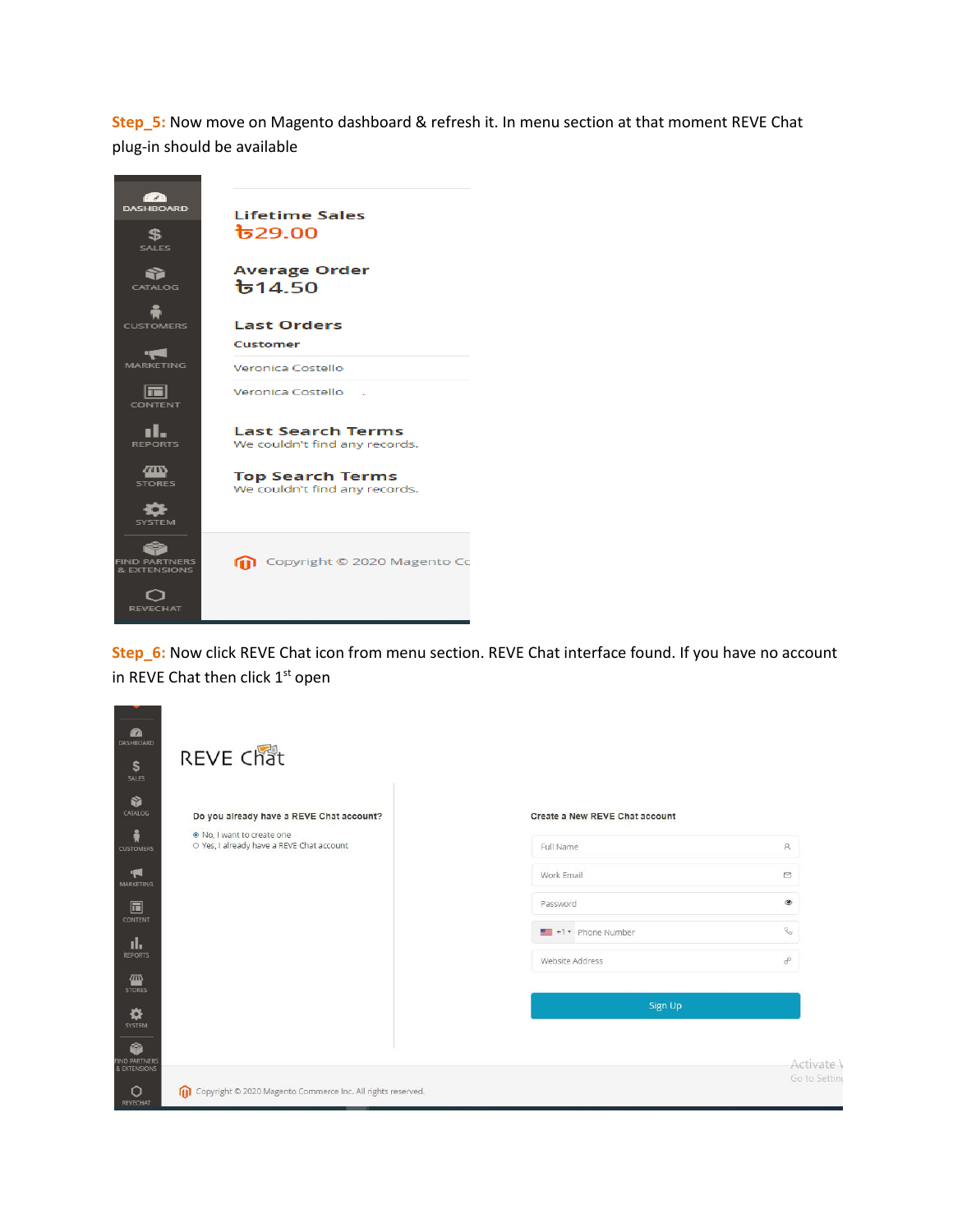**Step\_5:** Now move on Magento dashboard & refresh it. In menu section at that moment REVE Chat plug-in should be available



**Step\_6:** Now click REVE Chat icon from menu section. REVE Chat interface found. If you have no account in REVE Chat then click 1<sup>st</sup> open

| <b>REVE Chat</b>                                                        |                                |                         |
|-------------------------------------------------------------------------|--------------------------------|-------------------------|
| Do you already have a REVE Chat account?                                | Create a New REVE Chat account |                         |
| . No, I want to create one<br>O Yes, I already have a REVE Chat account | Full Name                      | $\aleph$                |
|                                                                         | Work Email                     | $\overline{\mathbb{M}}$ |
|                                                                         | Password                       | ۱                       |
|                                                                         | $+1$ $\star$ Phone Number      | $\mathcal{C}$           |
|                                                                         | Website Address                | $\mathcal{O}$           |
|                                                                         | Sign Up                        |                         |
|                                                                         |                                |                         |
|                                                                         |                                |                         |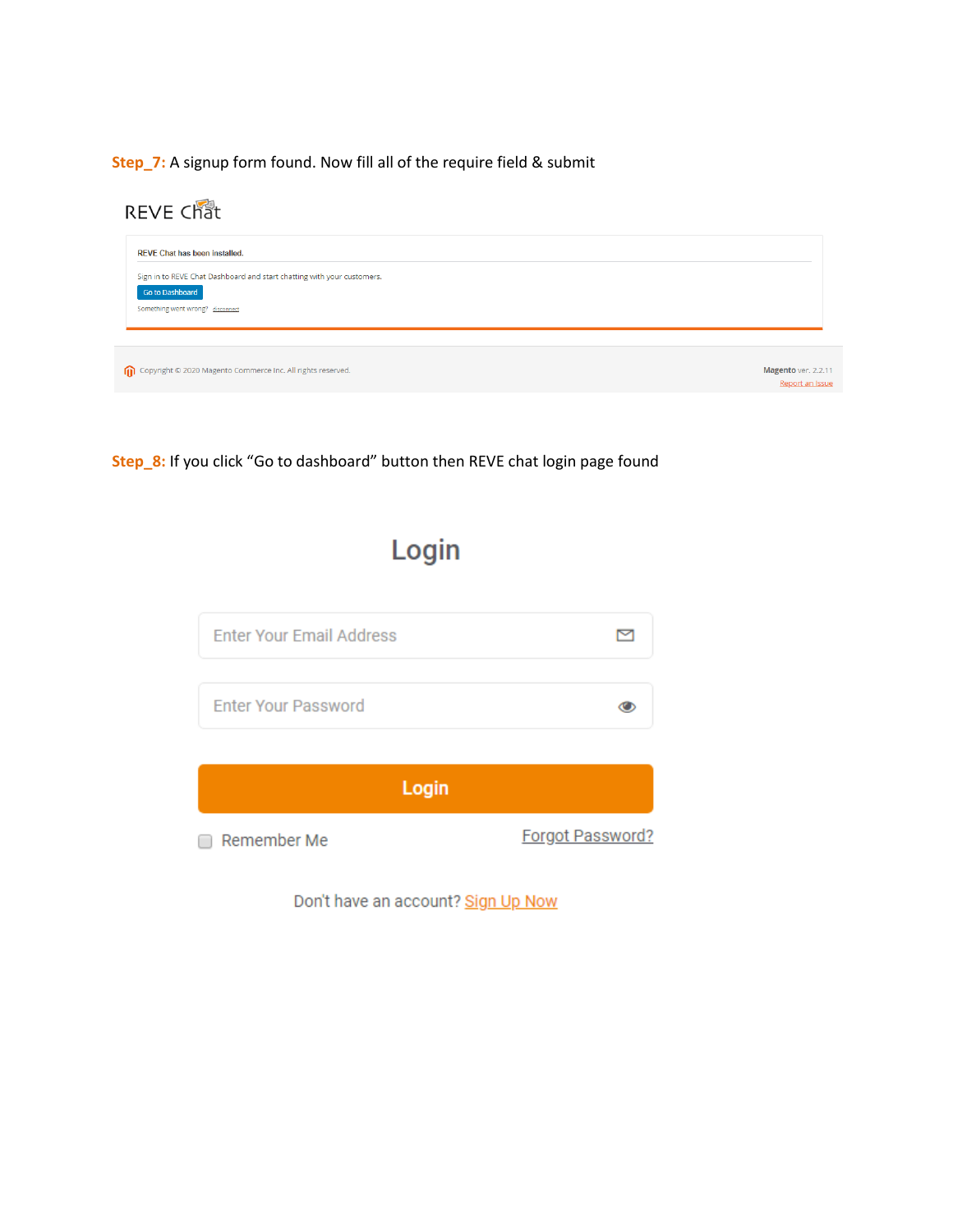**Step\_7:** A signup form found. Now fill all of the require field & submit

## **REVE Chat**



**Step\_8:** If you click "Go to dashboard" button then REVE chat login page found





Don't have an account? Sign Up Now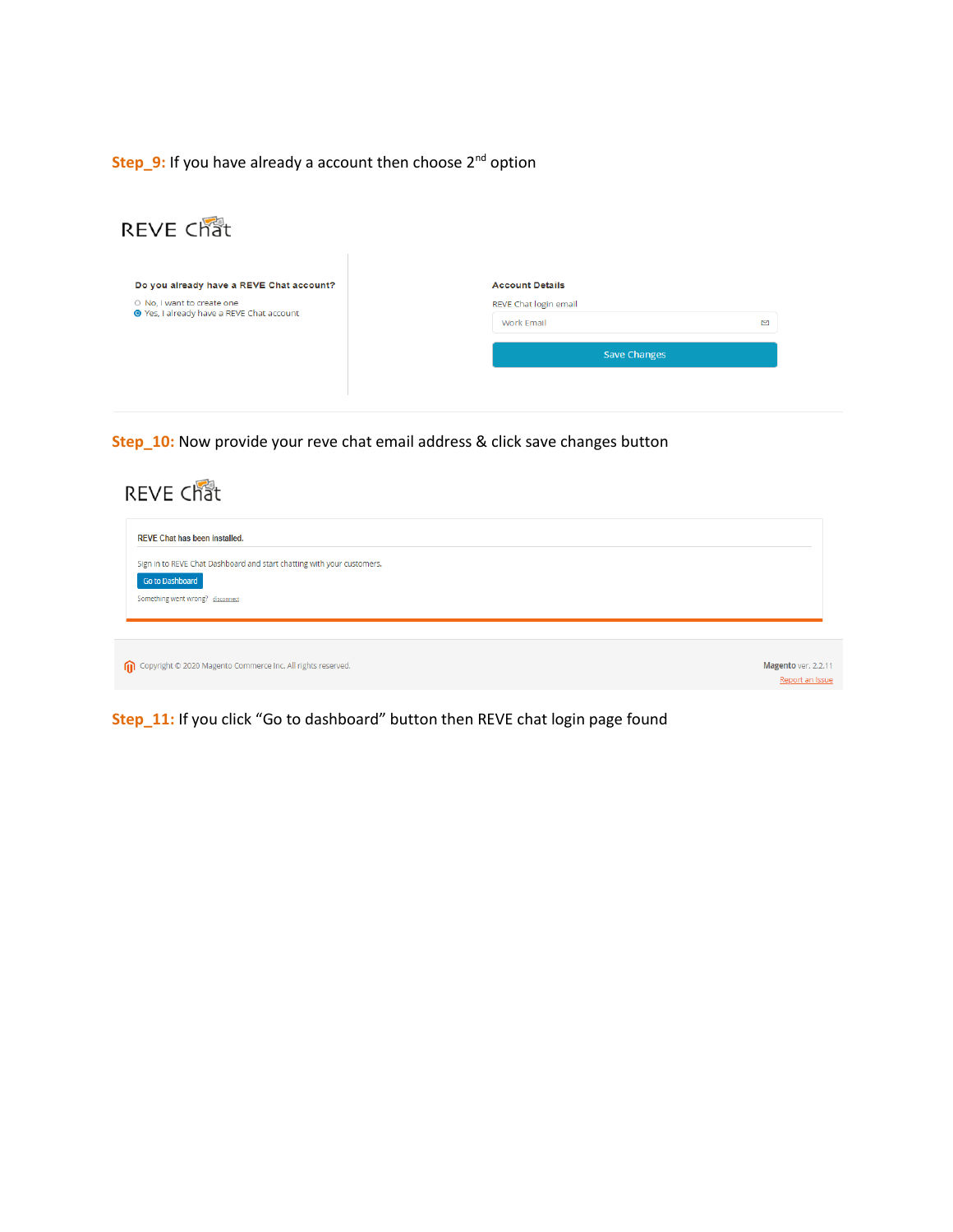**Step\_9:** If you have already a account then choose 2<sup>nd</sup> option

| REVE Chat                                 |                        |        |
|-------------------------------------------|------------------------|--------|
| Do you already have a REVE Chat account?  | <b>Account Details</b> |        |
| O No, I want to create one                | REVE Chat login email  |        |
| ● Yes, I already have a REVE Chat account | Work Email             | $\sim$ |
|                                           | <b>Save Changes</b>    |        |
|                                           |                        |        |
|                                           |                        |        |

**Step\_10:** Now provide your reve chat email address & click save changes button

| <b>REVE Chat</b>                                                                                                              |                                        |
|-------------------------------------------------------------------------------------------------------------------------------|----------------------------------------|
| <b>REVE Chat has been installed.</b>                                                                                          |                                        |
| Sign in to REVE Chat Dashboard and start chatting with your customers.<br>Go to Dashboard<br>Something went wrong? disconnect |                                        |
|                                                                                                                               |                                        |
| Copyright © 2020 Magento Commerce Inc. All rights reserved.                                                                   | Magento ver. 2.2.11<br>Report an Issue |

**Step\_11:** If you click "Go to dashboard" button then REVE chat login page found